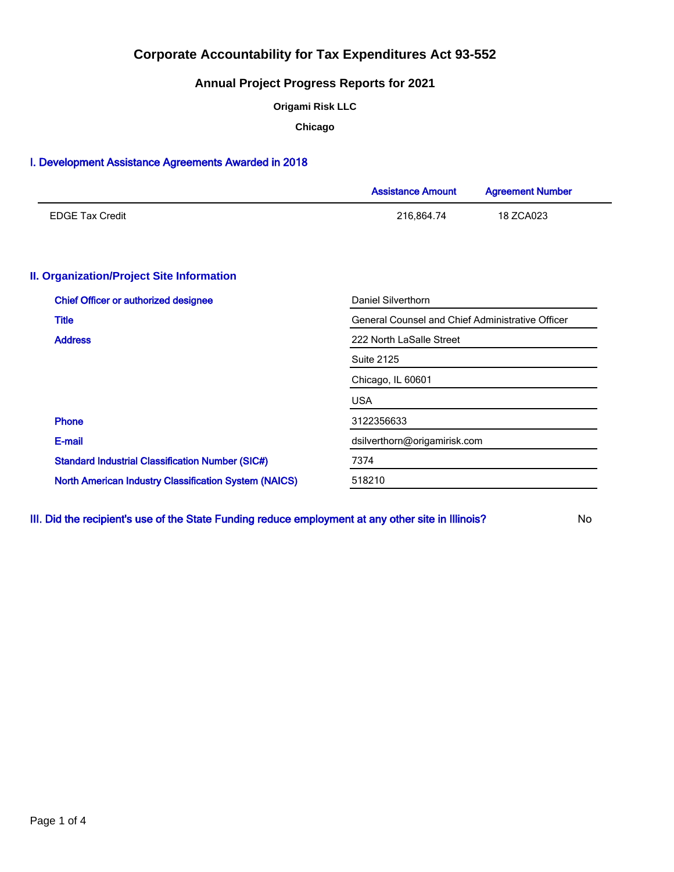# **Annual Project Progress Reports for 2021**

**Origami Risk LLC**

**Chicago**

## I. Development Assistance Agreements Awarded in 2018

|                                                              | <b>Assistance Amount</b>                                | <b>Agreement Number</b> |  |  |
|--------------------------------------------------------------|---------------------------------------------------------|-------------------------|--|--|
| <b>EDGE Tax Credit</b>                                       | 216,864.74                                              | 18 ZCA023               |  |  |
| <b>II. Organization/Project Site Information</b>             |                                                         |                         |  |  |
| <b>Chief Officer or authorized designee</b>                  | Daniel Silverthorn                                      |                         |  |  |
| <b>Title</b>                                                 | <b>General Counsel and Chief Administrative Officer</b> |                         |  |  |
| <b>Address</b>                                               | 222 North LaSalle Street                                |                         |  |  |
|                                                              | <b>Suite 2125</b>                                       |                         |  |  |
|                                                              | Chicago, IL 60601                                       |                         |  |  |
|                                                              | <b>USA</b>                                              |                         |  |  |
| <b>Phone</b>                                                 | 3122356633                                              |                         |  |  |
| E-mail                                                       | dsilverthorn@origamirisk.com                            |                         |  |  |
| <b>Standard Industrial Classification Number (SIC#)</b>      | 7374                                                    |                         |  |  |
| <b>North American Industry Classification System (NAICS)</b> | 518210                                                  |                         |  |  |

III. Did the recipient's use of the State Funding reduce employment at any other site in Illinois? No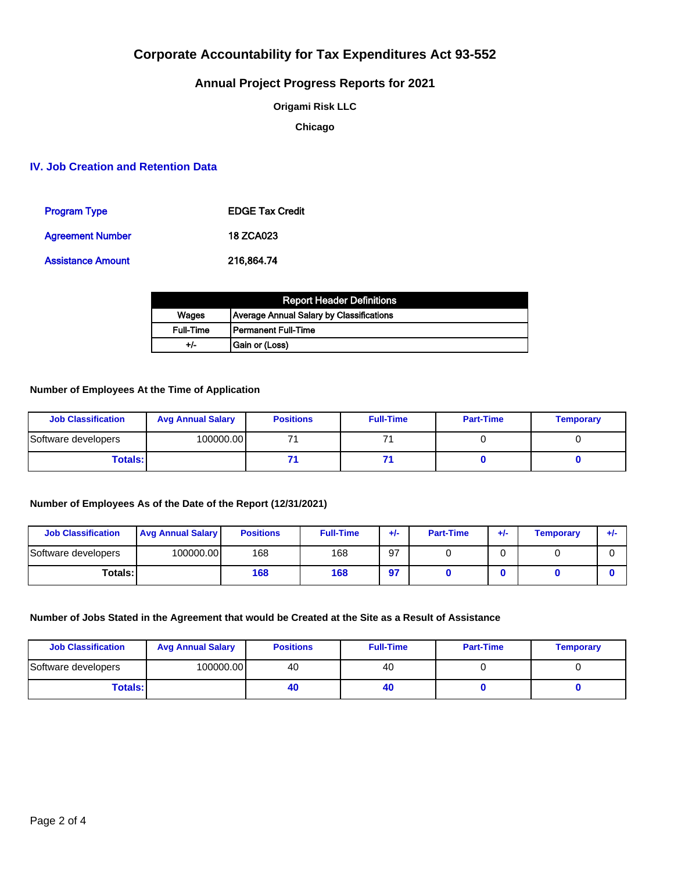# **Annual Project Progress Reports for 2021**

**Origami Risk LLC**

**Chicago**

## **IV. Job Creation and Retention Data**

| <b>Program Type</b>      | <b>EDGE Tax Credit</b> |
|--------------------------|------------------------|
| <b>Agreement Number</b>  | <b>18 ZCA023</b>       |
| <b>Assistance Amount</b> | 216.864.74             |

| <b>Report Header Definitions</b> |                                          |  |  |  |
|----------------------------------|------------------------------------------|--|--|--|
| Wages                            | Average Annual Salary by Classifications |  |  |  |
| <b>Full-Time</b>                 | l Permanent Full-Time                    |  |  |  |
| +/-                              | Gain or (Loss)                           |  |  |  |

### **Number of Employees At the Time of Application**

| <b>Job Classification</b> | <b>Avg Annual Salary</b> | <b>Positions</b> | <b>Full-Time</b> | <b>Part-Time</b> | <b>Temporary</b> |
|---------------------------|--------------------------|------------------|------------------|------------------|------------------|
| Software developers       | 100000.00                |                  |                  |                  |                  |
| <b>Totals:</b>            |                          |                  |                  |                  |                  |

### **Number of Employees As of the Date of the Report (12/31/2021)**

| <b>Job Classification</b> | <b>Avg Annual Salary</b> | <b>Positions</b> | <b>Full-Time</b> | +/- | <b>Part-Time</b> | +/- | Temporary | ÷ŀ |
|---------------------------|--------------------------|------------------|------------------|-----|------------------|-----|-----------|----|
| Software developers       | 100000.00                | 168              | 168              | 97  |                  | C   |           |    |
| <b>Totals:1</b>           |                          | 168              | 168              | 97  |                  |     |           |    |

## **Number of Jobs Stated in the Agreement that would be Created at the Site as a Result of Assistance**

| <b>Job Classification</b> | <b>Avg Annual Salary</b> | <b>Positions</b> | <b>Full-Time</b> | <b>Part-Time</b> | <b>Temporary</b> |
|---------------------------|--------------------------|------------------|------------------|------------------|------------------|
| Software developers       | 100000.00                | 40               | 40               |                  |                  |
| <b>Totals:</b>            |                          | 4L               | 40               |                  |                  |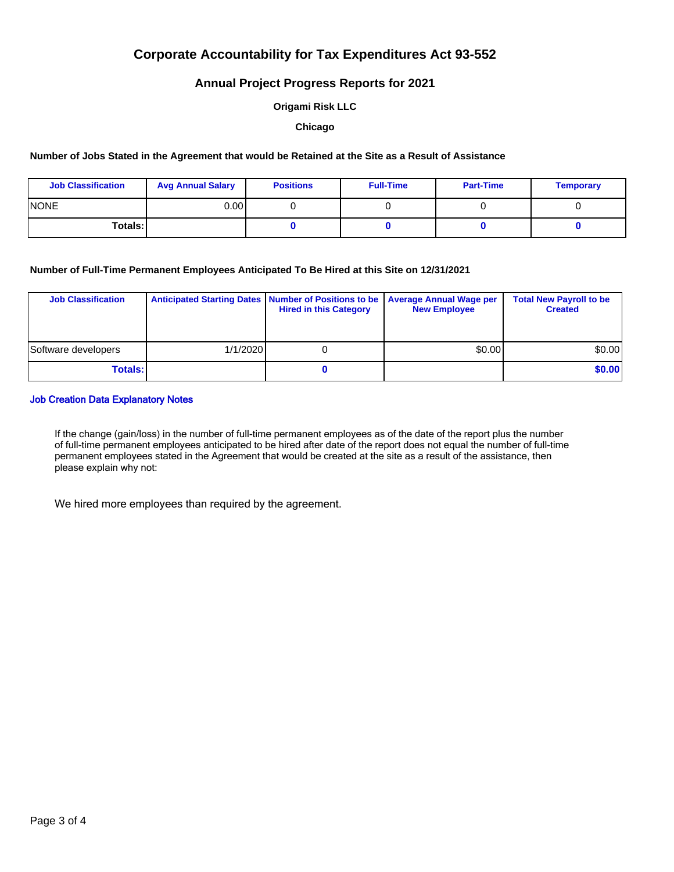## **Annual Project Progress Reports for 2021**

### **Origami Risk LLC**

#### **Chicago**

#### **Number of Jobs Stated in the Agreement that would be Retained at the Site as a Result of Assistance**

| <b>Job Classification</b> | <b>Avg Annual Salary</b> | <b>Positions</b> | <b>Full-Time</b> | <b>Part-Time</b> | <b>Temporary</b> |
|---------------------------|--------------------------|------------------|------------------|------------------|------------------|
| <b>INONE</b>              | 0.00 l                   |                  |                  |                  |                  |
| Totals: I                 |                          |                  |                  |                  |                  |

### **Number of Full-Time Permanent Employees Anticipated To Be Hired at this Site on 12/31/2021**

| <b>Job Classification</b> |          | Anticipated Starting Dates   Number of Positions to be   Average Annual Wage per<br><b>Hired in this Category</b> | <b>New Employee</b> | <b>Total New Payroll to be</b><br><b>Created</b> |
|---------------------------|----------|-------------------------------------------------------------------------------------------------------------------|---------------------|--------------------------------------------------|
| Software developers       | 1/1/2020 |                                                                                                                   | \$0.00              | \$0.00                                           |
| <b>Totals:</b>            |          |                                                                                                                   |                     | \$0.00                                           |

### Job Creation Data Explanatory Notes

If the change (gain/loss) in the number of full-time permanent employees as of the date of the report plus the number of full-time permanent employees anticipated to be hired after date of the report does not equal the number of full-time permanent employees stated in the Agreement that would be created at the site as a result of the assistance, then please explain why not:

We hired more employees than required by the agreement.